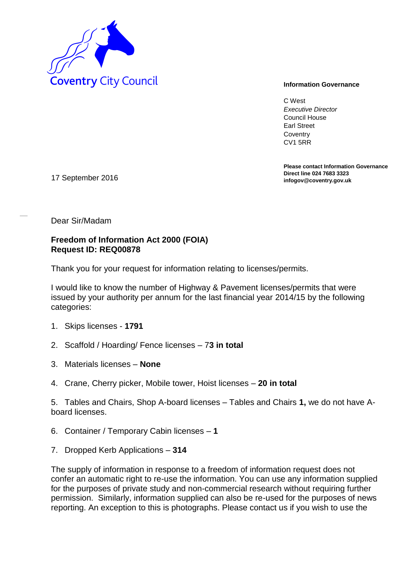

C West *Executive Director* Council House Earl Street **Coventry** CV1 5RR

**Please contact Information Governance Direct line 024 7683 3323** 17 September 2016 **infogov@coventry.gov.uk** 

Dear Sir/Madam

## **Freedom of Information Act 2000 (FOIA) Request ID: REQ00878**

Thank you for your request for information relating to licenses/permits.

I would like to know the number of Highway & Pavement licenses/permits that were issued by your authority per annum for the last financial year 2014/15 by the following categories:

- 1. Skips licenses **1791**
- 2. Scaffold / Hoarding/ Fence licenses 7**3 in total**
- 3. Materials licenses **None**
- 4. Crane, Cherry picker, Mobile tower, Hoist licenses **20 in total**

5. Tables and Chairs, Shop A-board licenses – Tables and Chairs **1,** we do not have Aboard licenses.

- 6. Container / Temporary Cabin licenses – **1**
- 7. Dropped Kerb Applications **314**

The supply of information in response to a freedom of information request does not confer an automatic right to re-use the information. You can use any information supplied for the purposes of private study and non-commercial research without requiring further permission. Similarly, information supplied can also be re-used for the purposes of news reporting. An exception to this is photographs. Please contact us if you wish to use the